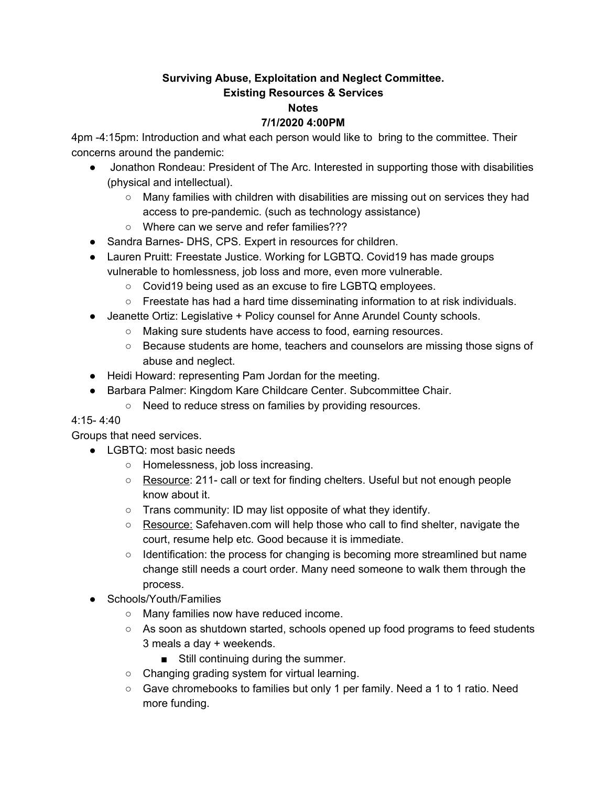## **Surviving Abuse, Exploitation and Neglect Committee. Existing Resources & Services**

#### **Notes**

## **7/1/2020 4:00PM**

4pm -4:15pm: Introduction and what each person would like to bring to the committee. Their concerns around the pandemic:

- Jonathon Rondeau: President of The Arc. Interested in supporting those with disabilities (physical and intellectual).
	- $\circ$  Many families with children with disabilities are missing out on services they had access to pre-pandemic. (such as technology assistance)
	- Where can we serve and refer families???
- Sandra Barnes- DHS, CPS, Expert in resources for children.
- Lauren Pruitt: Freestate Justice. Working for LGBTQ. Covid19 has made groups vulnerable to homlessness, job loss and more, even more vulnerable.
	- Covid19 being used as an excuse to fire LGBTQ employees.
	- $\circ$  Freestate has had a hard time disseminating information to at risk individuals.
- Jeanette Ortiz: Legislative + Policy counsel for Anne Arundel County schools.
	- Making sure students have access to food, earning resources.
	- Because students are home, teachers and counselors are missing those signs of abuse and neglect.
- Heidi Howard: representing Pam Jordan for the meeting.
- Barbara Palmer: Kingdom Kare Childcare Center. Subcommittee Chair.
	- Need to reduce stress on families by providing resources.

## 4:15- 4:40

Groups that need services.

- LGBTQ: most basic needs
	- Homelessness, job loss increasing.
	- Resource: 211- call or text for finding chelters. Useful but not enough people know about it.
	- Trans community: ID may list opposite of what they identify.
	- Resource: Safehaven.com will help those who call to find shelter, navigate the court, resume help etc. Good because it is immediate.
	- Identification: the process for changing is becoming more streamlined but name change still needs a court order. Many need someone to walk them through the process.
- Schools/Youth/Families
	- Many families now have reduced income.
	- $\circ$  As soon as shutdown started, schools opened up food programs to feed students 3 meals a day + weekends.
		- Still continuing during the summer.
	- Changing grading system for virtual learning.
	- Gave chromebooks to families but only 1 per family. Need a 1 to 1 ratio. Need more funding.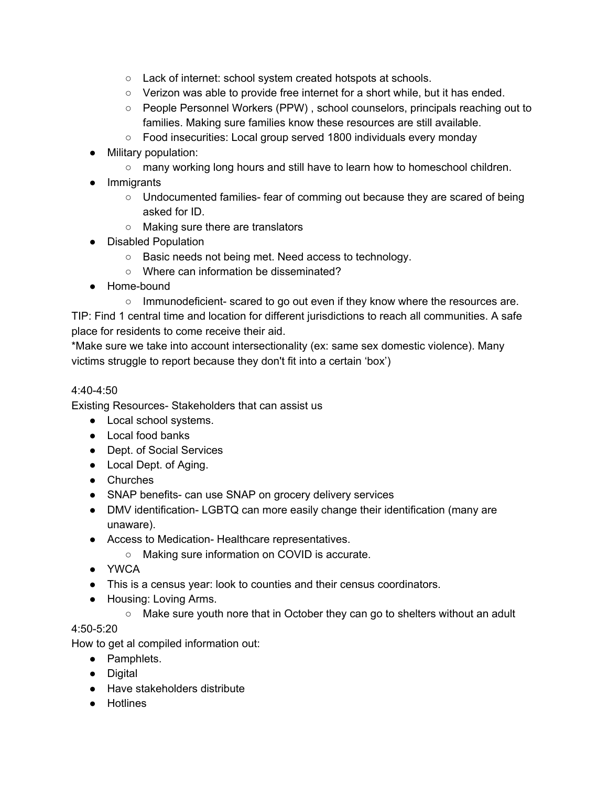- Lack of internet: school system created hotspots at schools.
- Verizon was able to provide free internet for a short while, but it has ended.
- People Personnel Workers (PPW) , school counselors, principals reaching out to families. Making sure families know these resources are still available.
- Food insecurities: Local group served 1800 individuals every monday
- Military population:
	- many working long hours and still have to learn how to homeschool children.
- Immigrants
	- Undocumented families- fear of comming out because they are scared of being asked for ID.
	- Making sure there are translators
- Disabled Population
	- Basic needs not being met. Need access to technology.
	- Where can information be disseminated?
- Home-bound
	- Immunodeficient- scared to go out even if they know where the resources are.

TIP: Find 1 central time and location for different jurisdictions to reach all communities. A safe place for residents to come receive their aid.

\*Make sure we take into account intersectionality (ex: same sex domestic violence). Many victims struggle to report because they don't fit into a certain 'box')

## 4:40-4:50

Existing Resources- Stakeholders that can assist us

- Local school systems.
- Local food banks
- Dept. of Social Services
- Local Dept. of Aging.
- Churches
- SNAP benefits- can use SNAP on grocery delivery services
- DMV identification- LGBTQ can more easily change their identification (many are unaware).
- Access to Medication- Healthcare representatives.
	- Making sure information on COVID is accurate.
- YWCA
- This is a census year: look to counties and their census coordinators.
- Housing: Loving Arms.
	- Make sure youth nore that in October they can go to shelters without an adult

# 4:50-5:20

How to get al compiled information out:

- Pamphlets.
- Digital
- Have stakeholders distribute
- Hotlines